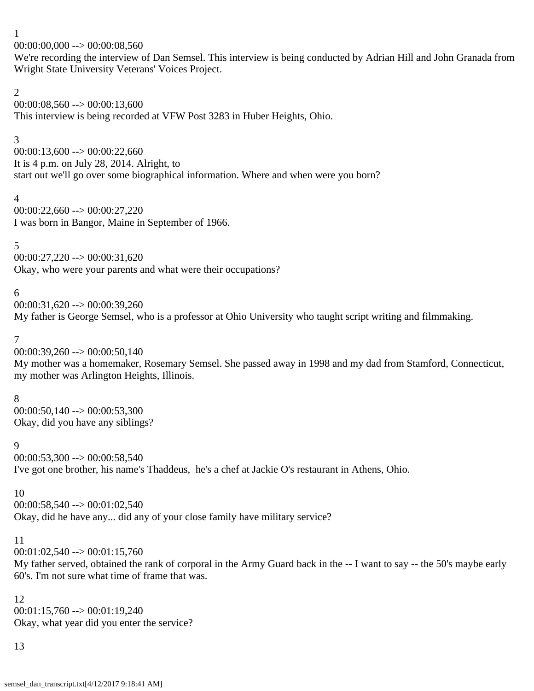$00:00:00,000 \rightarrow 00:00:08,560$ 

We're recording the interview of Dan Semsel. This interview is being conducted by Adrian Hill and John Granada from Wright State University Veterans' Voices Project.

## 2

00:00:08,560 --> 00:00:13,600 This interview is being recorded at VFW Post 3283 in Huber Heights, Ohio.

# 3

 $00:00:13,600 \rightarrow 00:00:22,660$ It is 4 p.m. on July 28, 2014. Alright, to start out we'll go over some biographical information. Where and when were you born?

# 4

00:00:22,660 --> 00:00:27,220 I was born in Bangor, Maine in September of 1966.

# 5

 $00:00:27,220 \rightarrow 00:00:31,620$ Okay, who were your parents and what were their occupations?

# 6

 $00:00:31,620 \rightarrow 00:00:39,260$ My father is George Semsel, who is a professor at Ohio University who taught script writing and filmmaking.

# 7

 $00:00:39,260 \rightarrow 00:00:50,140$ My mother was a homemaker, Rosemary Semsel. She passed away in 1998 and my dad from Stamford, Connecticut, my mother was Arlington Heights, Illinois.

# 8

00:00:50,140 --> 00:00:53,300 Okay, did you have any siblings?

# 9

00:00:53,300 --> 00:00:58,540 I've got one brother, his name's Thaddeus, he's a chef at Jackie O's restaurant in Athens, Ohio.

# 10

 $00:00:58,540 \rightarrow 00:01:02,540$ 

Okay, did he have any... did any of your close family have military service?

# 11

 $00:01:02,540 \rightarrow 00:01:15,760$ 

My father served, obtained the rank of corporal in the Army Guard back in the -- I want to say -- the 50's maybe early 60's. I'm not sure what time of frame that was.

# 12

 $00:01:15,760 \rightarrow 00:01:19,240$ Okay, what year did you enter the service?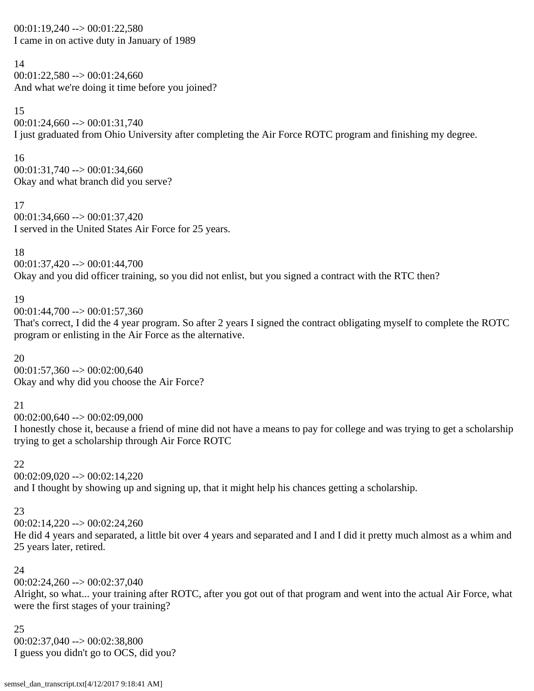$00:01:19,240 \rightarrow 00:01:22,580$ I came in on active duty in January of 1989

14 00:01:22,580 --> 00:01:24,660 And what we're doing it time before you joined?

15 00:01:24,660 --> 00:01:31,740 I just graduated from Ohio University after completing the Air Force ROTC program and finishing my degree.

16  $00:01:31,740 \rightarrow 00:01:34,660$ Okay and what branch did you serve?

17 00:01:34,660 --> 00:01:37,420 I served in the United States Air Force for 25 years.

18 00:01:37,420 --> 00:01:44,700 Okay and you did officer training, so you did not enlist, but you signed a contract with the RTC then?

19

00:01:44,700 --> 00:01:57,360

That's correct, I did the 4 year program. So after 2 years I signed the contract obligating myself to complete the ROTC program or enlisting in the Air Force as the alternative.

20 00:01:57,360 --> 00:02:00,640 Okay and why did you choose the Air Force?

21

00:02:00,640 --> 00:02:09,000

I honestly chose it, because a friend of mine did not have a means to pay for college and was trying to get a scholarship trying to get a scholarship through Air Force ROTC

22

00:02:09,020 --> 00:02:14,220 and I thought by showing up and signing up, that it might help his chances getting a scholarship.

# 23

00:02:14,220 --> 00:02:24,260

He did 4 years and separated, a little bit over 4 years and separated and I and I did it pretty much almost as a whim and 25 years later, retired.

# 24

 $00:02:24,260 \rightarrow 00:02:37,040$ 

Alright, so what... your training after ROTC, after you got out of that program and went into the actual Air Force, what were the first stages of your training?

25  $00:02:37,040 \rightarrow 00:02:38,800$ I guess you didn't go to OCS, did you?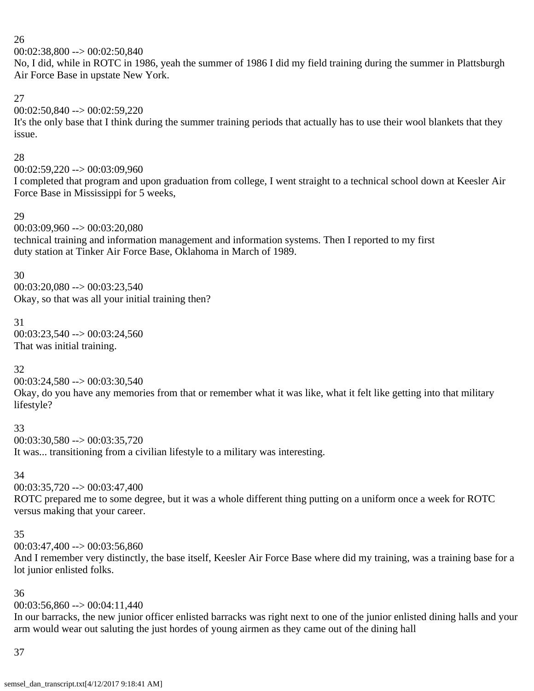$00:02:38,800 \rightarrow 00:02:50,840$ 

No, I did, while in ROTC in 1986, yeah the summer of 1986 I did my field training during the summer in Plattsburgh Air Force Base in upstate New York.

# 27

00:02:50,840 --> 00:02:59,220

It's the only base that I think during the summer training periods that actually has to use their wool blankets that they issue.

# 28

00:02:59,220 --> 00:03:09,960

I completed that program and upon graduation from college, I went straight to a technical school down at Keesler Air Force Base in Mississippi for 5 weeks,

# 29

00:03:09,960 --> 00:03:20,080 technical training and information management and information systems. Then I reported to my first

duty station at Tinker Air Force Base, Oklahoma in March of 1989.

### 30

00:03:20,080 --> 00:03:23,540 Okay, so that was all your initial training then?

# 31

00:03:23,540 --> 00:03:24,560 That was initial training.

# 32

 $00:03:24,580 \rightarrow 00:03:30,540$ 

Okay, do you have any memories from that or remember what it was like, what it felt like getting into that military lifestyle?

# 33

 $00:03:30,580 \rightarrow 00:03:35,720$ It was... transitioning from a civilian lifestyle to a military was interesting.

# 34

 $00:03:35,720 \rightarrow 00:03:47,400$ 

ROTC prepared me to some degree, but it was a whole different thing putting on a uniform once a week for ROTC versus making that your career.

# 35

00:03:47,400 --> 00:03:56,860

And I remember very distinctly, the base itself, Keesler Air Force Base where did my training, was a training base for a lot junior enlisted folks.

# 36

# 00:03:56,860 --> 00:04:11,440

In our barracks, the new junior officer enlisted barracks was right next to one of the junior enlisted dining halls and your arm would wear out saluting the just hordes of young airmen as they came out of the dining hall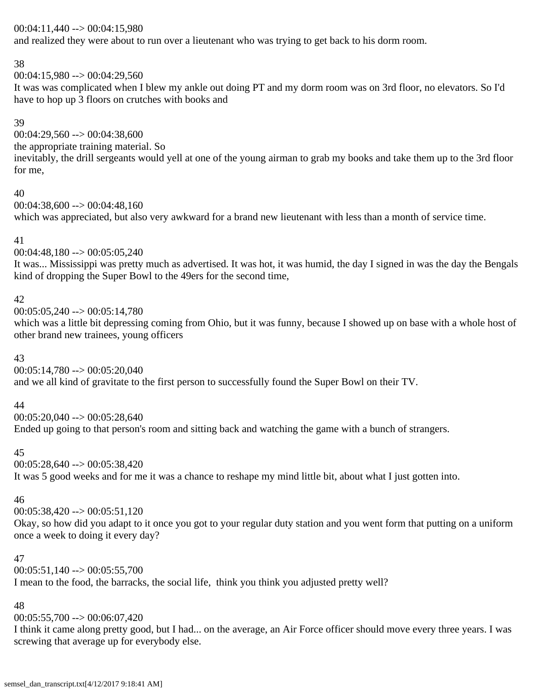### 00:04:11,440 --> 00:04:15,980

and realized they were about to run over a lieutenant who was trying to get back to his dorm room.

#### 38

00:04:15,980 --> 00:04:29,560

It was was complicated when I blew my ankle out doing PT and my dorm room was on 3rd floor, no elevators. So I'd have to hop up 3 floors on crutches with books and

### 39

 $00:04:29,560 \rightarrow 00:04:38,600$ the appropriate training material. So inevitably, the drill sergeants would yell at one of the young airman to grab my books and take them up to the 3rd floor for me,

#### 40

 $00:04:38,600 \rightarrow 00:04:48,160$ which was appreciated, but also very awkward for a brand new lieutenant with less than a month of service time.

### 41

00:04:48,180 --> 00:05:05,240

It was... Mississippi was pretty much as advertised. It was hot, it was humid, the day I signed in was the day the Bengals kind of dropping the Super Bowl to the 49ers for the second time,

### 42

00:05:05,240 --> 00:05:14,780

which was a little bit depressing coming from Ohio, but it was funny, because I showed up on base with a whole host of other brand new trainees, young officers

### 43

 $00:05:14,780 \rightarrow 00:05:20,040$ and we all kind of gravitate to the first person to successfully found the Super Bowl on their TV.

### 44

 $00:05:20,040 \rightarrow 00:05:28,640$ 

Ended up going to that person's room and sitting back and watching the game with a bunch of strangers.

# 45

00:05:28,640 --> 00:05:38,420 It was 5 good weeks and for me it was a chance to reshape my mind little bit, about what I just gotten into.

### 46

00:05:38,420 --> 00:05:51,120

Okay, so how did you adapt to it once you got to your regular duty station and you went form that putting on a uniform once a week to doing it every day?

### 47

 $00:05:51,140 \rightarrow 00:05:55,700$ 

I mean to the food, the barracks, the social life, think you think you adjusted pretty well?

# 48

 $00:05:55,700 \rightarrow 00:06:07,420$ 

I think it came along pretty good, but I had... on the average, an Air Force officer should move every three years. I was screwing that average up for everybody else.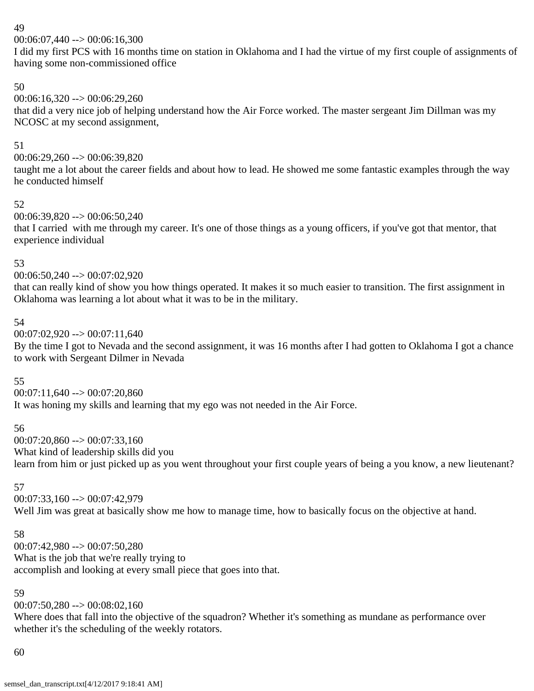00:06:07,440 --> 00:06:16,300

I did my first PCS with 16 months time on station in Oklahoma and I had the virtue of my first couple of assignments of having some non-commissioned office

# 50

 $00:06:16,320 \rightarrow 00:06:29,260$ that did a very nice job of helping understand how the Air Force worked. The master sergeant Jim Dillman was my NCOSC at my second assignment,

# 51

00:06:29,260 --> 00:06:39,820

taught me a lot about the career fields and about how to lead. He showed me some fantastic examples through the way he conducted himself

# 52

00:06:39,820 --> 00:06:50,240

that I carried with me through my career. It's one of those things as a young officers, if you've got that mentor, that experience individual

# 53

00:06:50,240 --> 00:07:02,920

that can really kind of show you how things operated. It makes it so much easier to transition. The first assignment in Oklahoma was learning a lot about what it was to be in the military.

# 54

 $00:07:02,920 \rightarrow 00:07:11,640$ 

By the time I got to Nevada and the second assignment, it was 16 months after I had gotten to Oklahoma I got a chance to work with Sergeant Dilmer in Nevada

# 55

 $00:07:11,640 \rightarrow 00:07:20,860$ It was honing my skills and learning that my ego was not needed in the Air Force.

# 56

 $00:07:20,860 \rightarrow 00:07:33,160$ What kind of leadership skills did you learn from him or just picked up as you went throughout your first couple years of being a you know, a new lieutenant?

# 57

00:07:33,160 --> 00:07:42,979 Well Jim was great at basically show me how to manage time, how to basically focus on the objective at hand.

### 58

00:07:42,980 --> 00:07:50,280 What is the job that we're really trying to accomplish and looking at every small piece that goes into that.

# 59

 $00:07:50,280 \rightarrow 00:08:02,160$ 

Where does that fall into the objective of the squadron? Whether it's something as mundane as performance over whether it's the scheduling of the weekly rotators.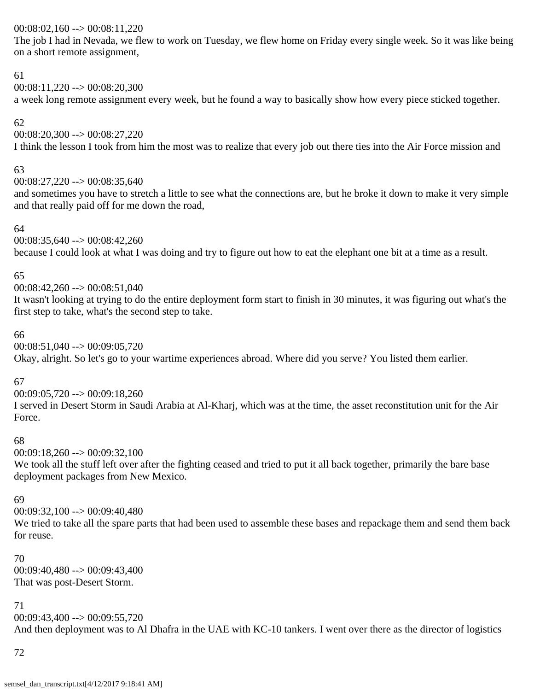# 00:08:02,160 --> 00:08:11,220

The job I had in Nevada, we flew to work on Tuesday, we flew home on Friday every single week. So it was like being on a short remote assignment,

### 61

 $00:08:11,220 \rightarrow 00:08:20,300$ 

a week long remote assignment every week, but he found a way to basically show how every piece sticked together.

# 62

00:08:20,300 --> 00:08:27,220

I think the lesson I took from him the most was to realize that every job out there ties into the Air Force mission and

# 63

00:08:27,220 --> 00:08:35,640

and sometimes you have to stretch a little to see what the connections are, but he broke it down to make it very simple and that really paid off for me down the road,

# 64

00:08:35,640 --> 00:08:42,260 because I could look at what I was doing and try to figure out how to eat the elephant one bit at a time as a result.

# 65

 $00:08:42,260 \rightarrow 00:08:51,040$ 

It wasn't looking at trying to do the entire deployment form start to finish in 30 minutes, it was figuring out what's the first step to take, what's the second step to take.

# 66

00:08:51,040 --> 00:09:05,720 Okay, alright. So let's go to your wartime experiences abroad. Where did you serve? You listed them earlier.

# 67

00:09:05,720 --> 00:09:18,260 I served in Desert Storm in Saudi Arabia at Al-Kharj, which was at the time, the asset reconstitution unit for the Air Force.

# 68

00:09:18,260 --> 00:09:32,100

We took all the stuff left over after the fighting ceased and tried to put it all back together, primarily the bare base deployment packages from New Mexico.

# 69

00:09:32,100 --> 00:09:40,480

We tried to take all the spare parts that had been used to assemble these bases and repackage them and send them back for reuse.

# 70

00:09:40,480 --> 00:09:43,400 That was post-Desert Storm.

# 71

 $00:09:43,400 \rightarrow 00:09:55,720$ And then deployment was to Al Dhafra in the UAE with KC-10 tankers. I went over there as the director of logistics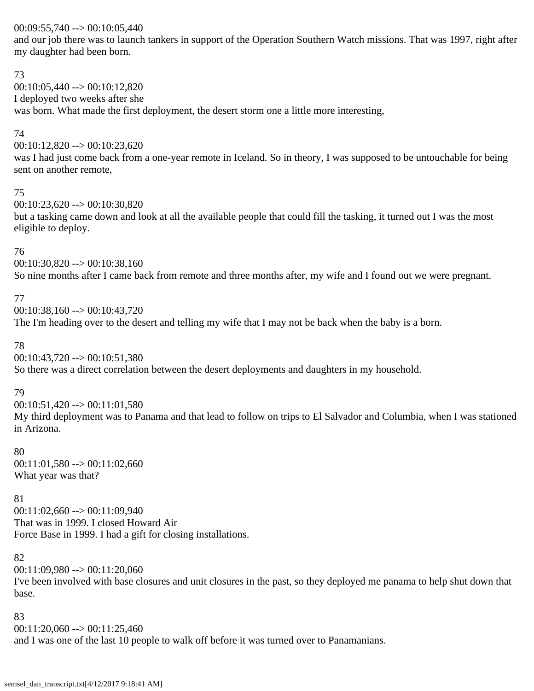### $00:09:55,740 \rightarrow 00:10:05,440$

and our job there was to launch tankers in support of the Operation Southern Watch missions. That was 1997, right after my daughter had been born.

### 73

00:10:05,440 --> 00:10:12,820 I deployed two weeks after she was born. What made the first deployment, the desert storm one a little more interesting,

# 74

00:10:12,820 --> 00:10:23,620

was I had just come back from a one-year remote in Iceland. So in theory, I was supposed to be untouchable for being sent on another remote,

### 75

00:10:23,620 --> 00:10:30,820

but a tasking came down and look at all the available people that could fill the tasking, it turned out I was the most eligible to deploy.

# 76

00:10:30,820 --> 00:10:38,160 So nine months after I came back from remote and three months after, my wife and I found out we were pregnant.

# 77

 $00:10:38,160 \rightarrow 00:10:43,720$ The I'm heading over to the desert and telling my wife that I may not be back when the baby is a born.

# 78

00:10:43,720 --> 00:10:51,380

So there was a direct correlation between the desert deployments and daughters in my household.

# 79

00:10:51,420 --> 00:11:01,580

My third deployment was to Panama and that lead to follow on trips to El Salvador and Columbia, when I was stationed in Arizona.

# 80

00:11:01,580 --> 00:11:02,660 What year was that?

# 81

 $00:11:02,660 \rightarrow 00:11:09.940$ That was in 1999. I closed Howard Air Force Base in 1999. I had a gift for closing installations.

# 82

00:11:09,980 --> 00:11:20,060

I've been involved with base closures and unit closures in the past, so they deployed me panama to help shut down that base.

# 83

 $00:11:20,060 \rightarrow 00:11:25,460$ and I was one of the last 10 people to walk off before it was turned over to Panamanians.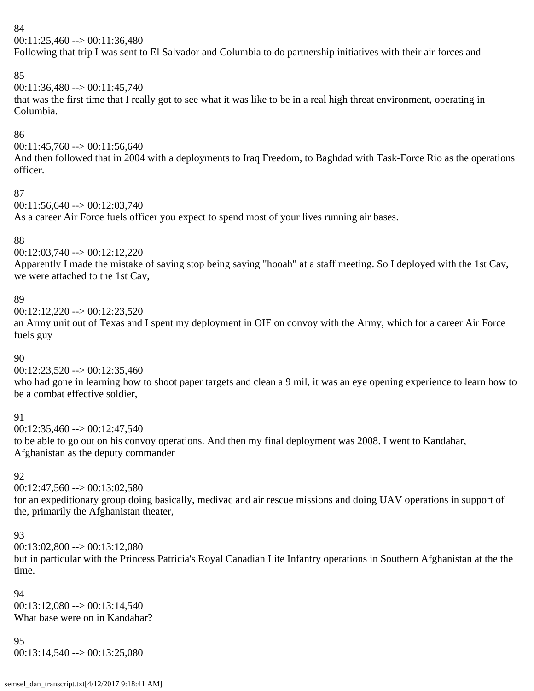00:11:25,460 --> 00:11:36,480

Following that trip I was sent to El Salvador and Columbia to do partnership initiatives with their air forces and

# 85

00:11:36,480 --> 00:11:45,740

that was the first time that I really got to see what it was like to be in a real high threat environment, operating in Columbia.

# 86

 $00:11:45,760 \rightarrow 00:11:56,640$ 

And then followed that in 2004 with a deployments to Iraq Freedom, to Baghdad with Task-Force Rio as the operations officer.

### 87

00:11:56,640 --> 00:12:03,740

As a career Air Force fuels officer you expect to spend most of your lives running air bases.

# 88

 $00:12:03,740 \rightarrow 00:12:12,220$ 

Apparently I made the mistake of saying stop being saying "hooah" at a staff meeting. So I deployed with the 1st Cav, we were attached to the 1st Cav,

# 89

00:12:12,220 --> 00:12:23,520

an Army unit out of Texas and I spent my deployment in OIF on convoy with the Army, which for a career Air Force fuels guy

# 90

 $00:12:23,520 \rightarrow 00:12:35,460$ 

who had gone in learning how to shoot paper targets and clean a 9 mil, it was an eye opening experience to learn how to be a combat effective soldier,

# 91

 $00:12:35,460 \rightarrow 00:12:47,540$ to be able to go out on his convoy operations. And then my final deployment was 2008. I went to Kandahar, Afghanistan as the deputy commander

# 92

 $00:12:47,560 \rightarrow 00:13:02,580$ 

for an expeditionary group doing basically, medivac and air rescue missions and doing UAV operations in support of the, primarily the Afghanistan theater,

# 93

00:13:02,800 --> 00:13:12,080

but in particular with the Princess Patricia's Royal Canadian Lite Infantry operations in Southern Afghanistan at the the time.

### 94

 $00:13:12.080 \rightarrow 00:13:14.540$ What base were on in Kandahar?

# 95

 $00:13:14,540 \rightarrow 00:13:25,080$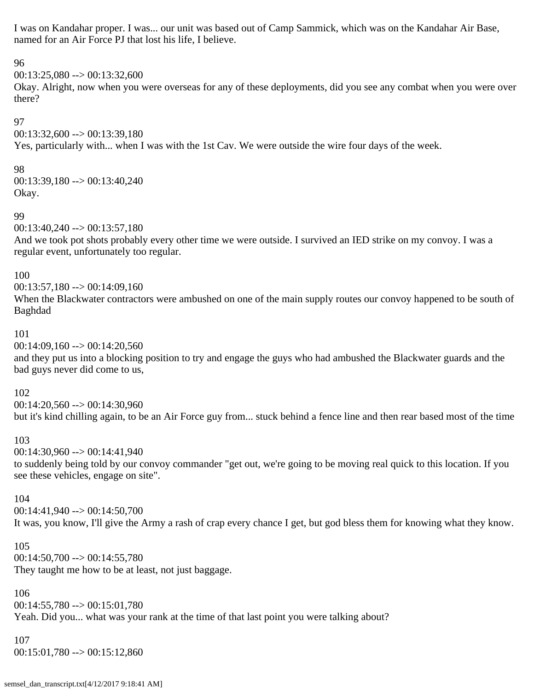I was on Kandahar proper. I was... our unit was based out of Camp Sammick, which was on the Kandahar Air Base, named for an Air Force PJ that lost his life, I believe.

#### 96

 $00:13:25,080 \rightarrow 00:13:32,600$ 

Okay. Alright, now when you were overseas for any of these deployments, did you see any combat when you were over there?

97

00:13:32,600 --> 00:13:39,180

Yes, particularly with... when I was with the 1st Cav. We were outside the wire four days of the week.

### 98

00:13:39,180 --> 00:13:40,240 Okay.

### 99

 $00:13:40.240 \rightarrow 00:13:57.180$ 

And we took pot shots probably every other time we were outside. I survived an IED strike on my convoy. I was a regular event, unfortunately too regular.

### 100

00:13:57,180 --> 00:14:09,160

When the Blackwater contractors were ambushed on one of the main supply routes our convoy happened to be south of Baghdad

### 101

00:14:09,160 --> 00:14:20,560

and they put us into a blocking position to try and engage the guys who had ambushed the Blackwater guards and the bad guys never did come to us,

### 102

 $00:14:20,560 \rightarrow 00:14:30,960$ but it's kind chilling again, to be an Air Force guy from... stuck behind a fence line and then rear based most of the time

# 103

00:14:30,960 --> 00:14:41,940

to suddenly being told by our convoy commander "get out, we're going to be moving real quick to this location. If you see these vehicles, engage on site".

### 104

00:14:41,940 --> 00:14:50,700 It was, you know, I'll give the Army a rash of crap every chance I get, but god bless them for knowing what they know.

#### 105

 $00:14:50,700 \rightarrow 00:14:55,780$ They taught me how to be at least, not just baggage.

# 106

00:14:55,780 --> 00:15:01,780

Yeah. Did you... what was your rank at the time of that last point you were talking about?

### 107

00:15:01,780 --> 00:15:12,860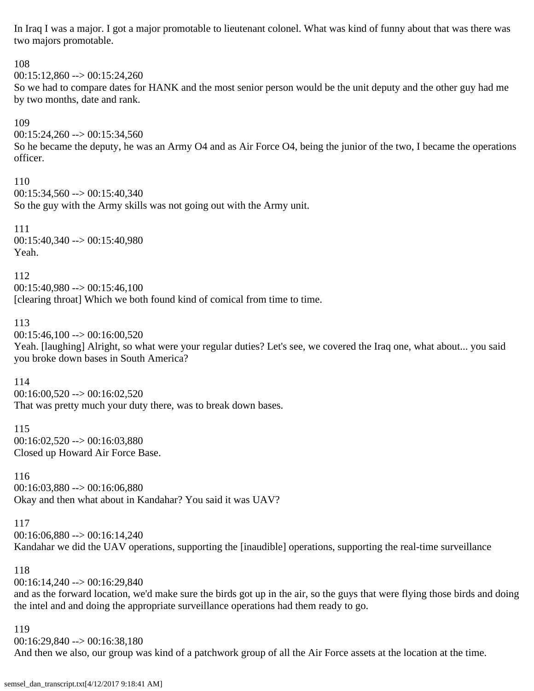In Iraq I was a major. I got a major promotable to lieutenant colonel. What was kind of funny about that was there was two majors promotable.

108 00:15:12,860 --> 00:15:24,260 So we had to compare dates for HANK and the most senior person would be the unit deputy and the other guy had me by two months, date and rank. 109  $00:15:24,260 \rightarrow 00:15:34,560$ So he became the deputy, he was an Army O4 and as Air Force O4, being the junior of the two, I became the operations officer. 110  $00:15:34.560 \rightarrow 00:15:40.340$ So the guy with the Army skills was not going out with the Army unit. 111 00:15:40,340 --> 00:15:40,980 Yeah. 112  $00:15:40,980 \rightarrow 00:15:46,100$ [clearing throat] Which we both found kind of comical from time to time. 113  $00:15:46,100 \rightarrow 00:16:00,520$ Yeah. [laughing] Alright, so what were your regular duties? Let's see, we covered the Iraq one, what about... you said you broke down bases in South America? 114  $00:16:00,520 \rightarrow 00:16:02,520$ That was pretty much your duty there, was to break down bases. 115 00:16:02,520 --> 00:16:03,880 Closed up Howard Air Force Base. 116 00:16:03,880 --> 00:16:06,880 Okay and then what about in Kandahar? You said it was UAV? 117  $00:16:06,880 \rightarrow 00:16:14,240$ Kandahar we did the UAV operations, supporting the [inaudible] operations, supporting the real-time surveillance

00:16:14,240 --> 00:16:29,840 and as the forward location, we'd make sure the birds got up in the air, so the guys that were flying those birds and doing the intel and and doing the appropriate surveillance operations had them ready to go.

119

118

00:16:29,840 --> 00:16:38,180

And then we also, our group was kind of a patchwork group of all the Air Force assets at the location at the time.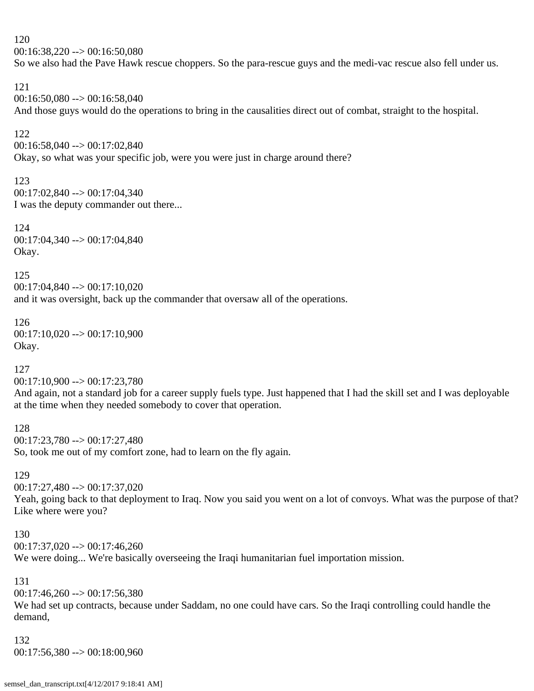$00:16:38,220 \rightarrow 00:16:50,080$ 

So we also had the Pave Hawk rescue choppers. So the para-rescue guys and the medi-vac rescue also fell under us.

#### 121

 $00:16:50.080 \rightarrow 00:16:58.040$ And those guys would do the operations to bring in the causalities direct out of combat, straight to the hospital.

### 122

00:16:58,040 --> 00:17:02,840

Okay, so what was your specific job, were you were just in charge around there?

### 123

00:17:02,840 --> 00:17:04,340 I was the deputy commander out there...

124 00:17:04,340 --> 00:17:04,840 Okay.

### 125

00:17:04,840 --> 00:17:10,020 and it was oversight, back up the commander that oversaw all of the operations.

### 126 00:17:10,020 --> 00:17:10,900 Okay.

# 127

 $00:17:10,900 \rightarrow 00:17:23,780$ 

And again, not a standard job for a career supply fuels type. Just happened that I had the skill set and I was deployable at the time when they needed somebody to cover that operation.

128 00:17:23,780 --> 00:17:27,480 So, took me out of my comfort zone, had to learn on the fly again.

### 129

00:17:27,480 --> 00:17:37,020 Yeah, going back to that deployment to Iraq. Now you said you went on a lot of convoys. What was the purpose of that? Like where were you?

#### 130

 $00:17:37,020 \rightarrow 00:17:46,260$ 

We were doing... We're basically overseeing the Iraqi humanitarian fuel importation mission.

### 131

 $00:17:46,260 \rightarrow 00:17:56,380$ 

We had set up contracts, because under Saddam, no one could have cars. So the Iraqi controlling could handle the demand,

### 132

00:17:56,380 --> 00:18:00,960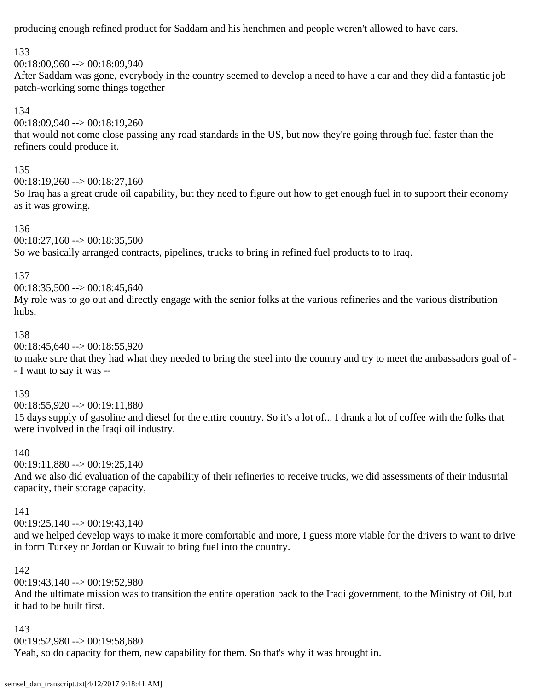producing enough refined product for Saddam and his henchmen and people weren't allowed to have cars.

# 133

 $00:18:00.960 \rightarrow 00:18:09.940$ After Saddam was gone, everybody in the country seemed to develop a need to have a car and they did a fantastic job patch-working some things together

### 134

00:18:09,940 --> 00:18:19,260 that would not come close passing any road standards in the US, but now they're going through fuel faster than the refiners could produce it.

### 135

 $00:18:19,260 \rightarrow 00:18:27,160$ 

So Iraq has a great crude oil capability, but they need to figure out how to get enough fuel in to support their economy as it was growing.

### 136

 $00:18:27,160 \rightarrow 00:18:35,500$ So we basically arranged contracts, pipelines, trucks to bring in refined fuel products to to Iraq.

### 137

 $00:18:35,500 \rightarrow 00:18:45,640$ 

My role was to go out and directly engage with the senior folks at the various refineries and the various distribution hubs,

### 138

 $00:18:45,640 \rightarrow 00:18:55,920$ 

to make sure that they had what they needed to bring the steel into the country and try to meet the ambassadors goal of - - I want to say it was --

### 139

 $00:18:55,920 \rightarrow 00:19:11,880$ 

15 days supply of gasoline and diesel for the entire country. So it's a lot of... I drank a lot of coffee with the folks that were involved in the Iraqi oil industry.

# 140

 $00:19:11,880 \rightarrow 00:19:25,140$ 

And we also did evaluation of the capability of their refineries to receive trucks, we did assessments of their industrial capacity, their storage capacity,

### 141

 $00:19:25,140 \rightarrow 00:19:43,140$ 

and we helped develop ways to make it more comfortable and more, I guess more viable for the drivers to want to drive in form Turkey or Jordan or Kuwait to bring fuel into the country.

# 142

 $00:19:43.140 \rightarrow 00:19:52.980$ 

And the ultimate mission was to transition the entire operation back to the Iraqi government, to the Ministry of Oil, but it had to be built first.

### 143

 $00:19:52,980 \rightarrow 00:19:58,680$ 

Yeah, so do capacity for them, new capability for them. So that's why it was brought in.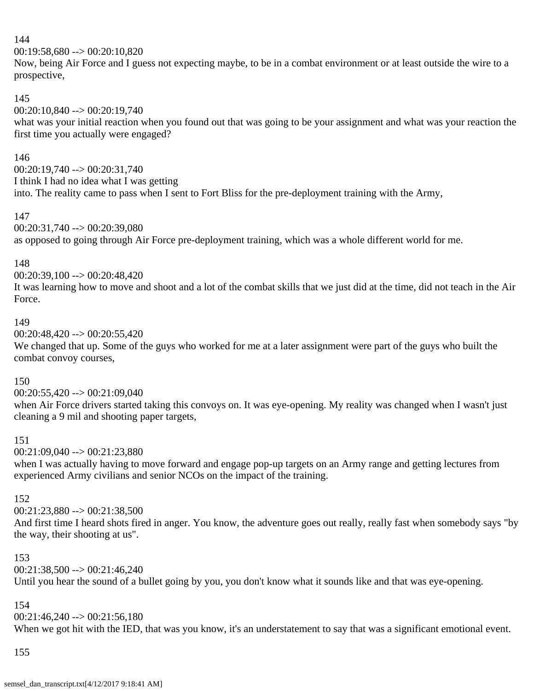00:19:58,680 --> 00:20:10,820

Now, being Air Force and I guess not expecting maybe, to be in a combat environment or at least outside the wire to a prospective,

# 145

00:20:10,840 --> 00:20:19,740

what was your initial reaction when you found out that was going to be your assignment and what was your reaction the first time you actually were engaged?

# 146

 $00:20:19.740 \rightarrow 00:20:31.740$ I think I had no idea what I was getting into. The reality came to pass when I sent to Fort Bliss for the pre-deployment training with the Army,

### 147

00:20:31,740 --> 00:20:39,080 as opposed to going through Air Force pre-deployment training, which was a whole different world for me.

### 148

00:20:39,100 --> 00:20:48,420

It was learning how to move and shoot and a lot of the combat skills that we just did at the time, did not teach in the Air Force.

### 149

 $00:20:48,420 \rightarrow 00:20:55,420$ 

We changed that up. Some of the guys who worked for me at a later assignment were part of the guys who built the combat convoy courses,

### 150

00:20:55,420 --> 00:21:09,040

when Air Force drivers started taking this convoys on. It was eye-opening. My reality was changed when I wasn't just cleaning a 9 mil and shooting paper targets,

### 151

 $00:21:09.040 \rightarrow 00:21:23.880$ 

when I was actually having to move forward and engage pop-up targets on an Army range and getting lectures from experienced Army civilians and senior NCOs on the impact of the training.

# 152

 $00:21:23.880 \rightarrow 00:21:38.500$ 

And first time I heard shots fired in anger. You know, the adventure goes out really, really fast when somebody says "by the way, their shooting at us".

### 153

00:21:38,500 --> 00:21:46,240

Until you hear the sound of a bullet going by you, you don't know what it sounds like and that was eye-opening.

# 154

 $00:21:46.240 \rightarrow 00:21:56.180$ When we got hit with the IED, that was you know, it's an understatement to say that was a significant emotional event.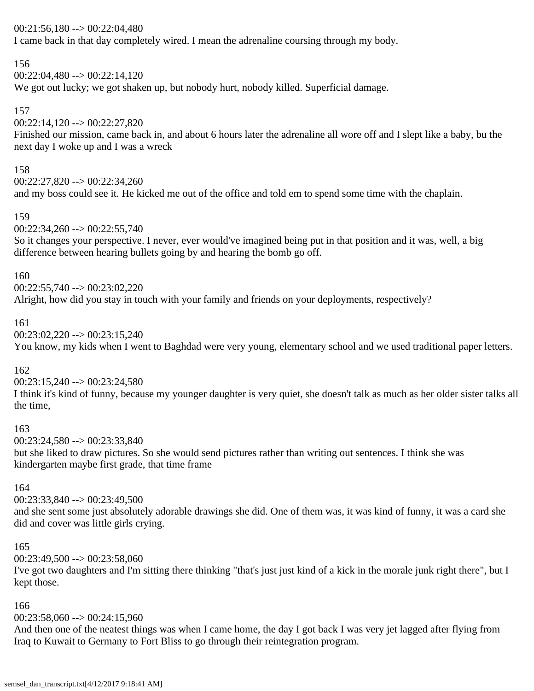### $00:21:56,180 \rightarrow 00:22:04,480$

I came back in that day completely wired. I mean the adrenaline coursing through my body.

# 156

00:22:04,480 --> 00:22:14,120

We got out lucky; we got shaken up, but nobody hurt, nobody killed. Superficial damage.

# 157

 $00:22:14,120 \rightarrow 00:22:27,820$ 

Finished our mission, came back in, and about 6 hours later the adrenaline all wore off and I slept like a baby, bu the next day I woke up and I was a wreck

### 158

00:22:27,820 --> 00:22:34,260 and my boss could see it. He kicked me out of the office and told em to spend some time with the chaplain.

### 159

 $00:22:34,260 \rightarrow 00:22:55,740$ 

So it changes your perspective. I never, ever would've imagined being put in that position and it was, well, a big difference between hearing bullets going by and hearing the bomb go off.

### 160

### $00:22:55.740 \rightarrow 00:23:02.220$

Alright, how did you stay in touch with your family and friends on your deployments, respectively?

### 161

 $00:23:02,220 \rightarrow 00:23:15,240$ 

You know, my kids when I went to Baghdad were very young, elementary school and we used traditional paper letters.

# 162

 $00:23:15,240 \rightarrow 00:23:24,580$ 

I think it's kind of funny, because my younger daughter is very quiet, she doesn't talk as much as her older sister talks all the time,

# 163

00:23:24,580 --> 00:23:33,840

but she liked to draw pictures. So she would send pictures rather than writing out sentences. I think she was kindergarten maybe first grade, that time frame

# 164

00:23:33,840 --> 00:23:49,500

and she sent some just absolutely adorable drawings she did. One of them was, it was kind of funny, it was a card she did and cover was little girls crying.

### 165

 $00:23:49,500 \rightarrow 00:23:58,060$ 

I've got two daughters and I'm sitting there thinking "that's just just kind of a kick in the morale junk right there", but I kept those.

# 166

 $00:23:58,060 \rightarrow 00:24:15,960$ 

And then one of the neatest things was when I came home, the day I got back I was very jet lagged after flying from Iraq to Kuwait to Germany to Fort Bliss to go through their reintegration program.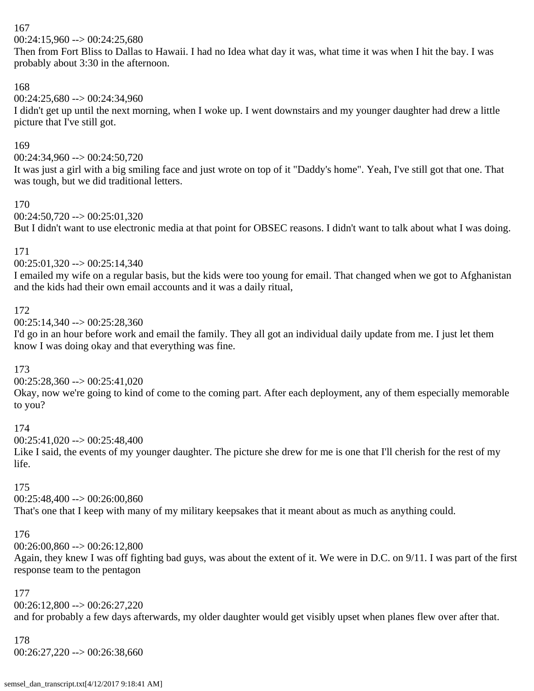$00:24:15,960 \rightarrow 00:24:25,680$ 

Then from Fort Bliss to Dallas to Hawaii. I had no Idea what day it was, what time it was when I hit the bay. I was probably about 3:30 in the afternoon.

# 168

00:24:25,680 --> 00:24:34,960

I didn't get up until the next morning, when I woke up. I went downstairs and my younger daughter had drew a little picture that I've still got.

# 169

00:24:34,960 --> 00:24:50,720

It was just a girl with a big smiling face and just wrote on top of it "Daddy's home". Yeah, I've still got that one. That was tough, but we did traditional letters.

# 170

 $00:24:50,720 \rightarrow 00:25:01,320$ 

But I didn't want to use electronic media at that point for OBSEC reasons. I didn't want to talk about what I was doing.

# 171

 $00:25:01,320 \rightarrow 00:25:14,340$ 

I emailed my wife on a regular basis, but the kids were too young for email. That changed when we got to Afghanistan and the kids had their own email accounts and it was a daily ritual,

# 172

 $00:25:14,340 \rightarrow 00:25:28,360$ 

I'd go in an hour before work and email the family. They all got an individual daily update from me. I just let them know I was doing okay and that everything was fine.

# 173

 $00:25:28,360 \rightarrow 00:25:41,020$ 

Okay, now we're going to kind of come to the coming part. After each deployment, any of them especially memorable to you?

# 174

 $00:25:41,020 \rightarrow 00:25:48,400$ 

Like I said, the events of my younger daughter. The picture she drew for me is one that I'll cherish for the rest of my life.

# 175

00:25:48,400 --> 00:26:00,860

That's one that I keep with many of my military keepsakes that it meant about as much as anything could.

# 176

00:26:00,860 --> 00:26:12,800

Again, they knew I was off fighting bad guys, was about the extent of it. We were in D.C. on 9/11. I was part of the first response team to the pentagon

# 177

00:26:12,800 --> 00:26:27,220

and for probably a few days afterwards, my older daughter would get visibly upset when planes flew over after that.

# 178

 $00:26:27,220 \rightarrow 00:26:38,660$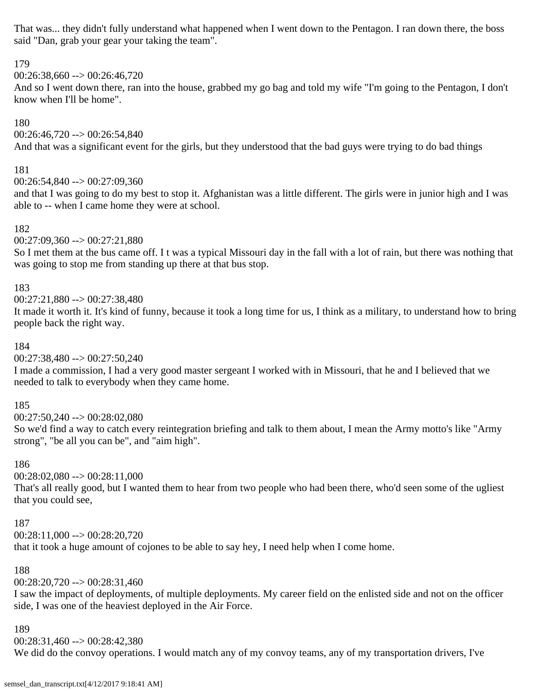That was... they didn't fully understand what happened when I went down to the Pentagon. I ran down there, the boss said "Dan, grab your gear your taking the team".

# 179

00:26:38,660 --> 00:26:46,720

And so I went down there, ran into the house, grabbed my go bag and told my wife "I'm going to the Pentagon, I don't know when I'll be home".

# 180

 $00:26:46,720 \rightarrow 00:26:54,840$ 

And that was a significant event for the girls, but they understood that the bad guys were trying to do bad things

# 181

00:26:54,840 --> 00:27:09,360

and that I was going to do my best to stop it. Afghanistan was a little different. The girls were in junior high and I was able to -- when I came home they were at school.

# 182

00:27:09,360 --> 00:27:21,880

So I met them at the bus came off. I t was a typical Missouri day in the fall with a lot of rain, but there was nothing that was going to stop me from standing up there at that bus stop.

# 183

00:27:21,880 --> 00:27:38,480

It made it worth it. It's kind of funny, because it took a long time for us, I think as a military, to understand how to bring people back the right way.

# 184

00:27:38,480 --> 00:27:50,240

I made a commission, I had a very good master sergeant I worked with in Missouri, that he and I believed that we needed to talk to everybody when they came home.

# 185

00:27:50,240 --> 00:28:02,080

So we'd find a way to catch every reintegration briefing and talk to them about, I mean the Army motto's like "Army strong", "be all you can be", and "aim high".

# 186

 $00:28:02,080 \rightarrow 00:28:11,000$ 

That's all really good, but I wanted them to hear from two people who had been there, who'd seen some of the ugliest that you could see,

# 187

 $00:28:11,000 \rightarrow 00:28:20,720$ 

that it took a huge amount of cojones to be able to say hey, I need help when I come home.

# 188

 $00:28:20,720 \rightarrow 00:28:31,460$ 

I saw the impact of deployments, of multiple deployments. My career field on the enlisted side and not on the officer side, I was one of the heaviest deployed in the Air Force.

### 189

 $00:28:31,460 \rightarrow 00:28:42,380$ 

We did do the convoy operations. I would match any of my convoy teams, any of my transportation drivers, I've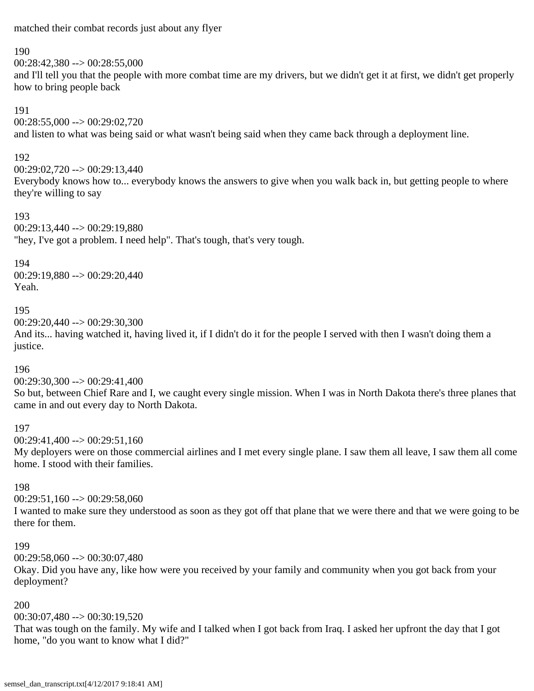matched their combat records just about any flyer

#### 190

 $00:28:42.380 \rightarrow 00:28:55.000$ 

and I'll tell you that the people with more combat time are my drivers, but we didn't get it at first, we didn't get properly how to bring people back

### 191

00:28:55,000 --> 00:29:02,720

and listen to what was being said or what wasn't being said when they came back through a deployment line.

# 192

00:29:02,720 --> 00:29:13,440

Everybody knows how to... everybody knows the answers to give when you walk back in, but getting people to where they're willing to say

### 193

 $00:29:13,440 \rightarrow 00:29:19,880$ "hey, I've got a problem. I need help". That's tough, that's very tough.

### 194

00:29:19,880 --> 00:29:20,440 Yeah.

### 195

00:29:20,440 --> 00:29:30,300

And its... having watched it, having lived it, if I didn't do it for the people I served with then I wasn't doing them a justice.

# 196

 $00:29:30,300 \rightarrow 00:29:41,400$ 

So but, between Chief Rare and I, we caught every single mission. When I was in North Dakota there's three planes that came in and out every day to North Dakota.

# 197

 $00:29:41,400 \rightarrow 00:29:51,160$ 

My deployers were on those commercial airlines and I met every single plane. I saw them all leave, I saw them all come home. I stood with their families.

### 198

00:29:51,160 --> 00:29:58,060

I wanted to make sure they understood as soon as they got off that plane that we were there and that we were going to be there for them.

### 199

 $00:29:58.060 \rightarrow 00:30:07.480$ 

Okay. Did you have any, like how were you received by your family and community when you got back from your deployment?

# 200

00:30:07,480 --> 00:30:19,520

That was tough on the family. My wife and I talked when I got back from Iraq. I asked her upfront the day that I got home, "do you want to know what I did?"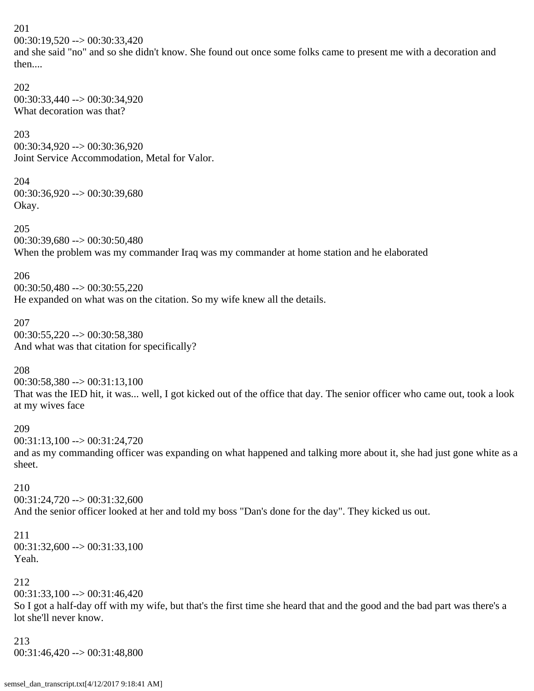201 00:30:19,520 --> 00:30:33,420 and she said "no" and so she didn't know. She found out once some folks came to present me with a decoration and then.... 202 00:30:33,440 --> 00:30:34,920 What decoration was that? 203 00:30:34,920 --> 00:30:36,920 Joint Service Accommodation, Metal for Valor. 204 00:30:36,920 --> 00:30:39,680 Okay. 205 00:30:39,680 --> 00:30:50,480 When the problem was my commander Iraq was my commander at home station and he elaborated 206 00:30:50,480 --> 00:30:55,220 He expanded on what was on the citation. So my wife knew all the details. 207 00:30:55,220 --> 00:30:58,380 And what was that citation for specifically? 208  $00:30:58,380 \rightarrow 00:31:13,100$ That was the IED hit, it was... well, I got kicked out of the office that day. The senior officer who came out, took a look at my wives face 209 00:31:13,100 --> 00:31:24,720 and as my commanding officer was expanding on what happened and talking more about it, she had just gone white as a sheet. 210 00:31:24,720 --> 00:31:32,600 And the senior officer looked at her and told my boss "Dan's done for the day". They kicked us out. 211 00:31:32,600 --> 00:31:33,100 Yeah. 212 00:31:33,100 --> 00:31:46,420 So I got a half-day off with my wife, but that's the first time she heard that and the good and the bad part was there's a lot she'll never know.

213 00:31:46,420 --> 00:31:48,800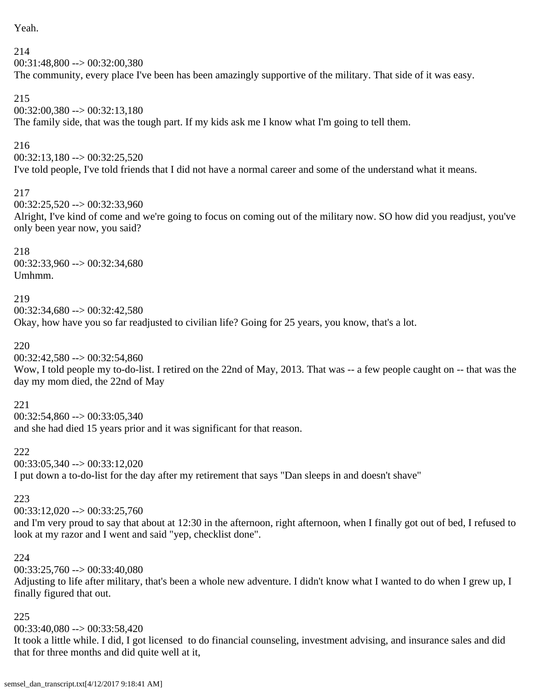Yeah.

214 00:31:48,800 --> 00:32:00,380 The community, every place I've been has been amazingly supportive of the military. That side of it was easy.

# 215

00:32:00,380 --> 00:32:13,180 The family side, that was the tough part. If my kids ask me I know what I'm going to tell them.

# 216

00:32:13,180 --> 00:32:25,520

I've told people, I've told friends that I did not have a normal career and some of the understand what it means.

### 217

00:32:25,520 --> 00:32:33,960

Alright, I've kind of come and we're going to focus on coming out of the military now. SO how did you readjust, you've only been year now, you said?

### 218

00:32:33,960 --> 00:32:34,680 Umhmm.

### 219

 $00:32:34,680 \rightarrow 00:32:42,580$ Okay, how have you so far readjusted to civilian life? Going for 25 years, you know, that's a lot.

# 220

00:32:42,580 --> 00:32:54,860

Wow, I told people my to-do-list. I retired on the 22nd of May, 2013. That was -- a few people caught on -- that was the day my mom died, the 22nd of May

### 221

 $00:32:54,860 \rightarrow 00:33:05,340$ 

and she had died 15 years prior and it was significant for that reason.

222 00:33:05,340 --> 00:33:12,020 I put down a to-do-list for the day after my retirement that says "Dan sleeps in and doesn't shave"

### 223

 $00:33:12,020 \rightarrow 00:33:25,760$ 

and I'm very proud to say that about at 12:30 in the afternoon, right afternoon, when I finally got out of bed, I refused to look at my razor and I went and said "yep, checklist done".

### 224

 $00:33:25,760 \rightarrow 00:33:40,080$ 

Adjusting to life after military, that's been a whole new adventure. I didn't know what I wanted to do when I grew up, I finally figured that out.

### 225

00:33:40,080 --> 00:33:58,420

It took a little while. I did, I got licensed to do financial counseling, investment advising, and insurance sales and did that for three months and did quite well at it,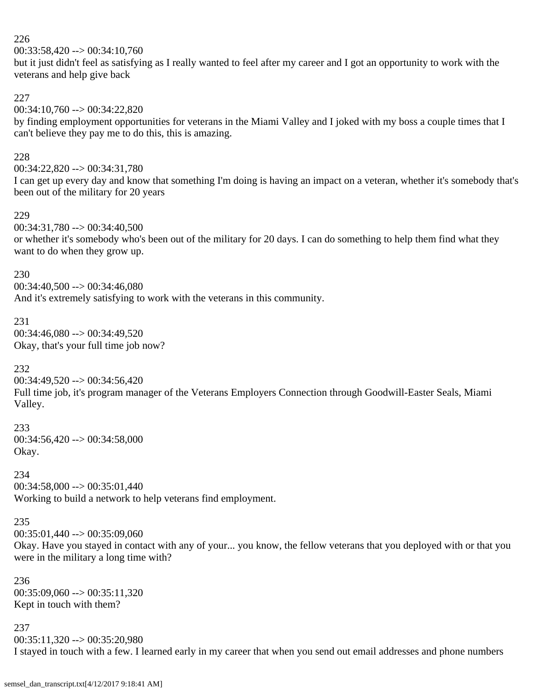$00:33:58,420 \rightarrow 00:34:10,760$ 

but it just didn't feel as satisfying as I really wanted to feel after my career and I got an opportunity to work with the veterans and help give back

227

00:34:10,760 --> 00:34:22,820

by finding employment opportunities for veterans in the Miami Valley and I joked with my boss a couple times that I can't believe they pay me to do this, this is amazing.

#### 228

00:34:22,820 --> 00:34:31,780

I can get up every day and know that something I'm doing is having an impact on a veteran, whether it's somebody that's been out of the military for 20 years

#### 229

00:34:31,780 --> 00:34:40,500

or whether it's somebody who's been out of the military for 20 days. I can do something to help them find what they want to do when they grow up.

#### 230

 $00:34:40,500 \rightarrow 00:34:46,080$ And it's extremely satisfying to work with the veterans in this community.

### 231

 $00:34:46,080 \rightarrow 00:34:49,520$ Okay, that's your full time job now?

# 232

 $00:34:49,520 \rightarrow 00:34:56,420$ 

Full time job, it's program manager of the Veterans Employers Connection through Goodwill-Easter Seals, Miami Valley.

#### 233

 $00:34:56,420 \rightarrow 00:34:58,000$ Okay.

# 234

00:34:58,000 --> 00:35:01,440 Working to build a network to help veterans find employment.

### 235

 $00:35:01,440 \rightarrow 00:35:09,060$ 

Okay. Have you stayed in contact with any of your... you know, the fellow veterans that you deployed with or that you were in the military a long time with?

236  $00:35:09,060 \rightarrow 00:35:11,320$ Kept in touch with them?

#### 237

 $00:35:11,320 \rightarrow 00:35:20,980$ I stayed in touch with a few. I learned early in my career that when you send out email addresses and phone numbers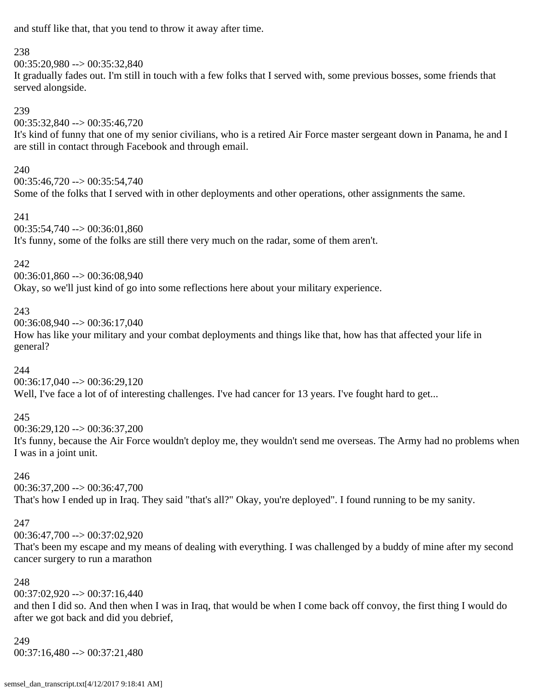and stuff like that, that you tend to throw it away after time.

### 238

00:35:20,980 --> 00:35:32,840

It gradually fades out. I'm still in touch with a few folks that I served with, some previous bosses, some friends that served alongside.

# 239

00:35:32,840 --> 00:35:46,720

It's kind of funny that one of my senior civilians, who is a retired Air Force master sergeant down in Panama, he and I are still in contact through Facebook and through email.

# 240

00:35:46,720 --> 00:35:54,740 Some of the folks that I served with in other deployments and other operations, other assignments the same.

### 241

 $00:35:54,740 \rightarrow 00:36:01,860$ It's funny, some of the folks are still there very much on the radar, some of them aren't.

### 242

00:36:01,860 --> 00:36:08,940 Okay, so we'll just kind of go into some reflections here about your military experience.

# 243

00:36:08,940 --> 00:36:17,040

How has like your military and your combat deployments and things like that, how has that affected your life in general?

# 244

 $00:36:17,040 \rightarrow 00:36:29,120$ Well, I've face a lot of of interesting challenges. I've had cancer for 13 years. I've fought hard to get...

# 245

00:36:29,120 --> 00:36:37,200

It's funny, because the Air Force wouldn't deploy me, they wouldn't send me overseas. The Army had no problems when I was in a joint unit.

# 246

 $00:36:37,200 \rightarrow 00:36:47,700$ That's how I ended up in Iraq. They said "that's all?" Okay, you're deployed". I found running to be my sanity.

# 247

00:36:47,700 --> 00:37:02,920

That's been my escape and my means of dealing with everything. I was challenged by a buddy of mine after my second cancer surgery to run a marathon

# 248

 $00:37:02,920 \rightarrow 00:37:16,440$ 

and then I did so. And then when I was in Iraq, that would be when I come back off convoy, the first thing I would do after we got back and did you debrief,

#### 249 00:37:16,480 --> 00:37:21,480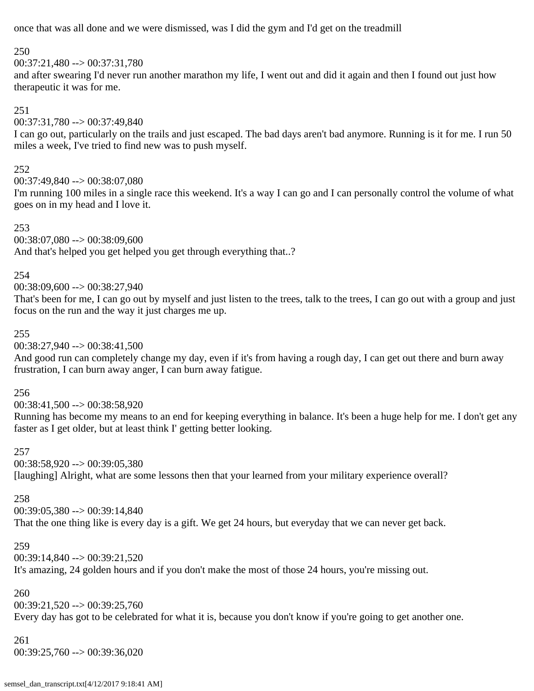once that was all done and we were dismissed, was I did the gym and I'd get on the treadmill

### 250

00:37:21,480 --> 00:37:31,780

and after swearing I'd never run another marathon my life, I went out and did it again and then I found out just how therapeutic it was for me.

# 251

00:37:31,780 --> 00:37:49,840

I can go out, particularly on the trails and just escaped. The bad days aren't bad anymore. Running is it for me. I run 50 miles a week, I've tried to find new was to push myself.

# 252

00:37:49,840 --> 00:38:07,080

I'm running 100 miles in a single race this weekend. It's a way I can go and I can personally control the volume of what goes on in my head and I love it.

253

00:38:07,080 --> 00:38:09,600

And that's helped you get helped you get through everything that..?

### 254

00:38:09,600 --> 00:38:27,940

That's been for me, I can go out by myself and just listen to the trees, talk to the trees, I can go out with a group and just focus on the run and the way it just charges me up.

### 255

00:38:27,940 --> 00:38:41,500

And good run can completely change my day, even if it's from having a rough day, I can get out there and burn away frustration, I can burn away anger, I can burn away fatigue.

# 256

 $00:38:41,500 \rightarrow 00:38:58.920$ 

Running has become my means to an end for keeping everything in balance. It's been a huge help for me. I don't get any faster as I get older, but at least think I' getting better looking.

### 257

00:38:58,920 --> 00:39:05,380 [laughing] Alright, what are some lessons then that your learned from your military experience overall?

# 258

 $00:39:05,380 \rightarrow 00:39:14,840$ 

That the one thing like is every day is a gift. We get 24 hours, but everyday that we can never get back.

# 259

00:39:14,840 --> 00:39:21,520 It's amazing, 24 golden hours and if you don't make the most of those 24 hours, you're missing out.

# 260

 $00:39:21,520 \rightarrow 00:39:25,760$ 

Every day has got to be celebrated for what it is, because you don't know if you're going to get another one.

# 261

00:39:25,760 --> 00:39:36,020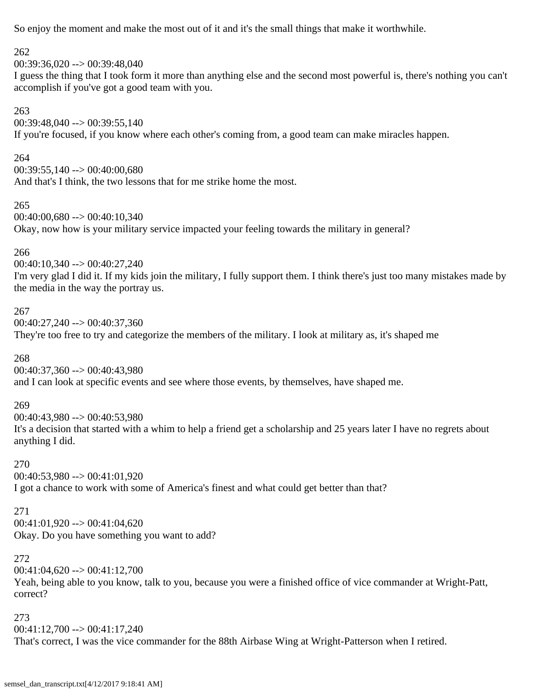So enjoy the moment and make the most out of it and it's the small things that make it worthwhile.

#### 262

 $00:39:36.020 \rightarrow 00:39:48.040$ 

I guess the thing that I took form it more than anything else and the second most powerful is, there's nothing you can't accomplish if you've got a good team with you.

### 263

 $00:39:48,040 \rightarrow 00:39:55,140$ If you're focused, if you know where each other's coming from, a good team can make miracles happen.

### 264

 $00:39:55,140 \rightarrow 00:40:00.680$ And that's I think, the two lessons that for me strike home the most.

#### 265

00:40:00,680 --> 00:40:10,340 Okay, now how is your military service impacted your feeling towards the military in general?

# 266

00:40:10,340 --> 00:40:27,240 I'm very glad I did it. If my kids join the military, I fully support them. I think there's just too many mistakes made by the media in the way the portray us.

# 267

00:40:27,240 --> 00:40:37,360 They're too free to try and categorize the members of the military. I look at military as, it's shaped me

# 268

00:40:37,360 --> 00:40:43,980 and I can look at specific events and see where those events, by themselves, have shaped me.

# 269

00:40:43,980 --> 00:40:53,980 It's a decision that started with a whim to help a friend get a scholarship and 25 years later I have no regrets about anything I did.

# 270

00:40:53,980 --> 00:41:01,920 I got a chance to work with some of America's finest and what could get better than that?

# 271

 $00:41:01,920 \rightarrow 00:41:04,620$ Okay. Do you have something you want to add?

# 272

 $00:41:04,620 \rightarrow 00:41:12,700$ 

Yeah, being able to you know, talk to you, because you were a finished office of vice commander at Wright-Patt, correct?

# 273 00:41:12,700 --> 00:41:17,240 That's correct, I was the vice commander for the 88th Airbase Wing at Wright-Patterson when I retired.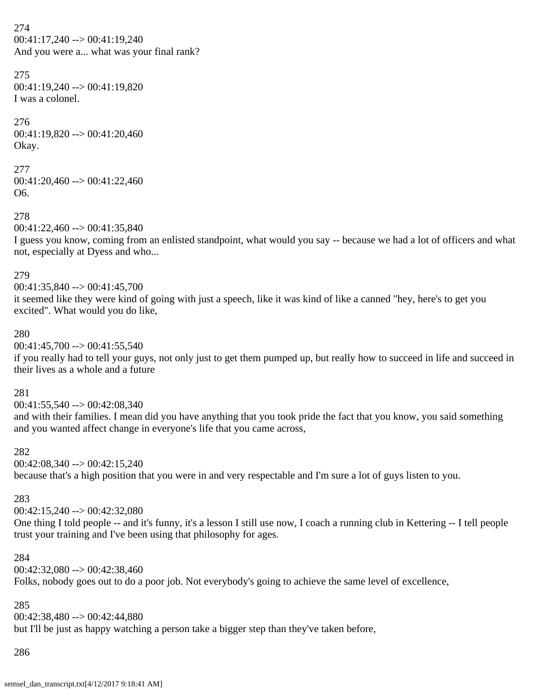274 00:41:17,240 --> 00:41:19,240 And you were a... what was your final rank?

275 00:41:19,240 --> 00:41:19,820 I was a colonel.

276 00:41:19,820 --> 00:41:20,460 Okay.

# 277 00:41:20,460 --> 00:41:22,460 O6.

278  $00:41:22,460 \rightarrow 00:41:35,840$ 

I guess you know, coming from an enlisted standpoint, what would you say -- because we had a lot of officers and what not, especially at Dyess and who...

### 279

00:41:35,840 --> 00:41:45,700 it seemed like they were kind of going with just a speech, like it was kind of like a canned "hey, here's to get you excited". What would you do like,

### 280

 $00:41:45,700 \rightarrow 00:41:55,540$ 

if you really had to tell your guys, not only just to get them pumped up, but really how to succeed in life and succeed in their lives as a whole and a future

### 281

 $00:41:55.540 \rightarrow 00:42:08.340$ 

and with their families. I mean did you have anything that you took pride the fact that you know, you said something and you wanted affect change in everyone's life that you came across,

#### 282

 $00:42:08,340 \rightarrow 00:42:15,240$ because that's a high position that you were in and very respectable and I'm sure a lot of guys listen to you.

### 283

 $00:42:15.240 \rightarrow 00:42:32.080$ 

One thing I told people -- and it's funny, it's a lesson I still use now, I coach a running club in Kettering -- I tell people trust your training and I've been using that philosophy for ages.

#### 284

 $00:42:32:080 \rightarrow 00:42:38.460$ Folks, nobody goes out to do a poor job. Not everybody's going to achieve the same level of excellence,

### 285

00:42:38,480 --> 00:42:44,880 but I'll be just as happy watching a person take a bigger step than they've taken before,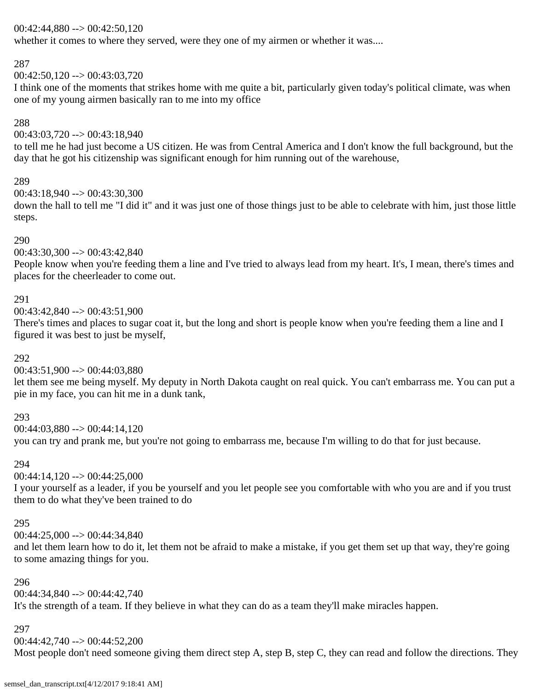### $00:42:44,880 \rightarrow 00:42:50,120$

whether it comes to where they served, were they one of my airmen or whether it was....

# 287

 $00:42:50,120 \rightarrow 00:43:03,720$ 

I think one of the moments that strikes home with me quite a bit, particularly given today's political climate, was when one of my young airmen basically ran to me into my office

# 288

00:43:03,720 --> 00:43:18,940

to tell me he had just become a US citizen. He was from Central America and I don't know the full background, but the day that he got his citizenship was significant enough for him running out of the warehouse,

# 289

00:43:18,940 --> 00:43:30,300

down the hall to tell me "I did it" and it was just one of those things just to be able to celebrate with him, just those little steps.

### 290

 $00:43:30,300 \rightarrow 00:43:42,840$ 

People know when you're feeding them a line and I've tried to always lead from my heart. It's, I mean, there's times and places for the cheerleader to come out.

# 291

00:43:42,840 --> 00:43:51,900

There's times and places to sugar coat it, but the long and short is people know when you're feeding them a line and I figured it was best to just be myself,

# 292

 $00:43:51,900 \rightarrow 00:44:03,880$ 

let them see me being myself. My deputy in North Dakota caught on real quick. You can't embarrass me. You can put a pie in my face, you can hit me in a dunk tank,

# 293

 $00:44:03.880 \rightarrow 00:44:14.120$ you can try and prank me, but you're not going to embarrass me, because I'm willing to do that for just because.

# 294

 $00:44:14,120 \rightarrow 00:44:25,000$ 

I your yourself as a leader, if you be yourself and you let people see you comfortable with who you are and if you trust them to do what they've been trained to do

# 295

 $00:44:25,000 \rightarrow 00:44:34,840$ 

and let them learn how to do it, let them not be afraid to make a mistake, if you get them set up that way, they're going to some amazing things for you.

# 296

00:44:34,840 --> 00:44:42,740 It's the strength of a team. If they believe in what they can do as a team they'll make miracles happen.

# 297

00:44:42,740 --> 00:44:52,200

Most people don't need someone giving them direct step A, step B, step C, they can read and follow the directions. They